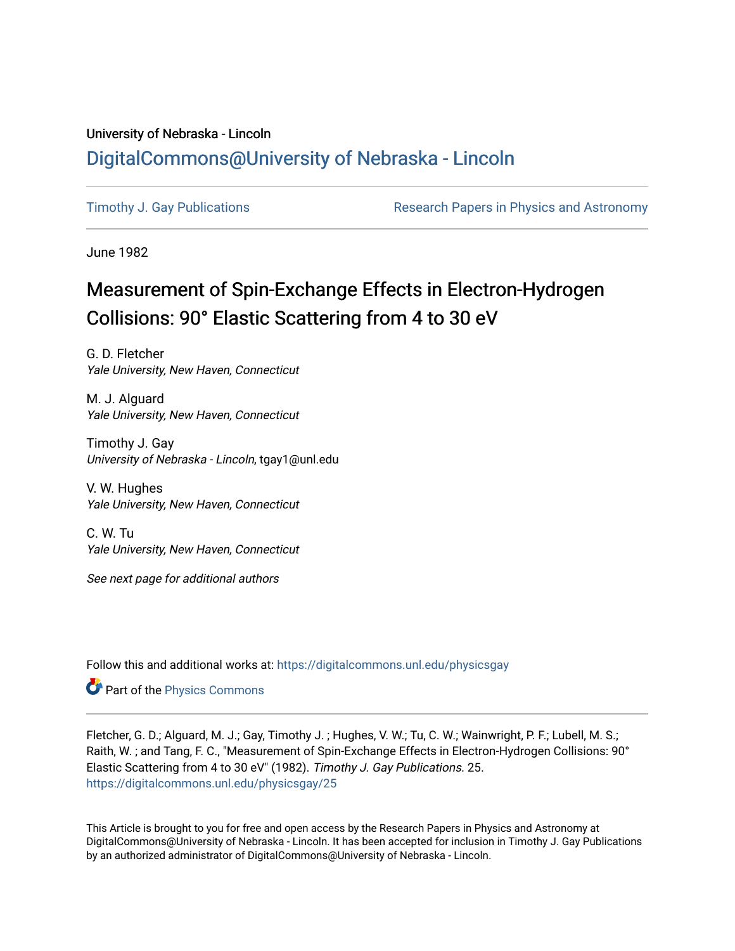## University of Nebraska - Lincoln [DigitalCommons@University of Nebraska - Lincoln](https://digitalcommons.unl.edu/)

[Timothy J. Gay Publications](https://digitalcommons.unl.edu/physicsgay) **Research Papers in Physics and Astronomy** 

June 1982

# Measurement of Spin-Exchange Effects in Electron-Hydrogen Collisions: 90° Elastic Scattering from 4 to 30 eV

G. D. Fletcher Yale University, New Haven, Connecticut

M. J. Alguard Yale University, New Haven, Connecticut

Timothy J. Gay University of Nebraska - Lincoln, tgay1@unl.edu

V. W. Hughes Yale University, New Haven, Connecticut

C. W. Tu Yale University, New Haven, Connecticut

See next page for additional authors

Follow this and additional works at: [https://digitalcommons.unl.edu/physicsgay](https://digitalcommons.unl.edu/physicsgay?utm_source=digitalcommons.unl.edu%2Fphysicsgay%2F25&utm_medium=PDF&utm_campaign=PDFCoverPages)

**Part of the [Physics Commons](http://network.bepress.com/hgg/discipline/193?utm_source=digitalcommons.unl.edu%2Fphysicsgay%2F25&utm_medium=PDF&utm_campaign=PDFCoverPages)** 

Fletcher, G. D.; Alguard, M. J.; Gay, Timothy J. ; Hughes, V. W.; Tu, C. W.; Wainwright, P. F.; Lubell, M. S.; Raith, W. ; and Tang, F. C., "Measurement of Spin-Exchange Effects in Electron-Hydrogen Collisions: 90° Elastic Scattering from 4 to 30 eV" (1982). Timothy J. Gay Publications. 25. [https://digitalcommons.unl.edu/physicsgay/25](https://digitalcommons.unl.edu/physicsgay/25?utm_source=digitalcommons.unl.edu%2Fphysicsgay%2F25&utm_medium=PDF&utm_campaign=PDFCoverPages) 

This Article is brought to you for free and open access by the Research Papers in Physics and Astronomy at DigitalCommons@University of Nebraska - Lincoln. It has been accepted for inclusion in Timothy J. Gay Publications by an authorized administrator of DigitalCommons@University of Nebraska - Lincoln.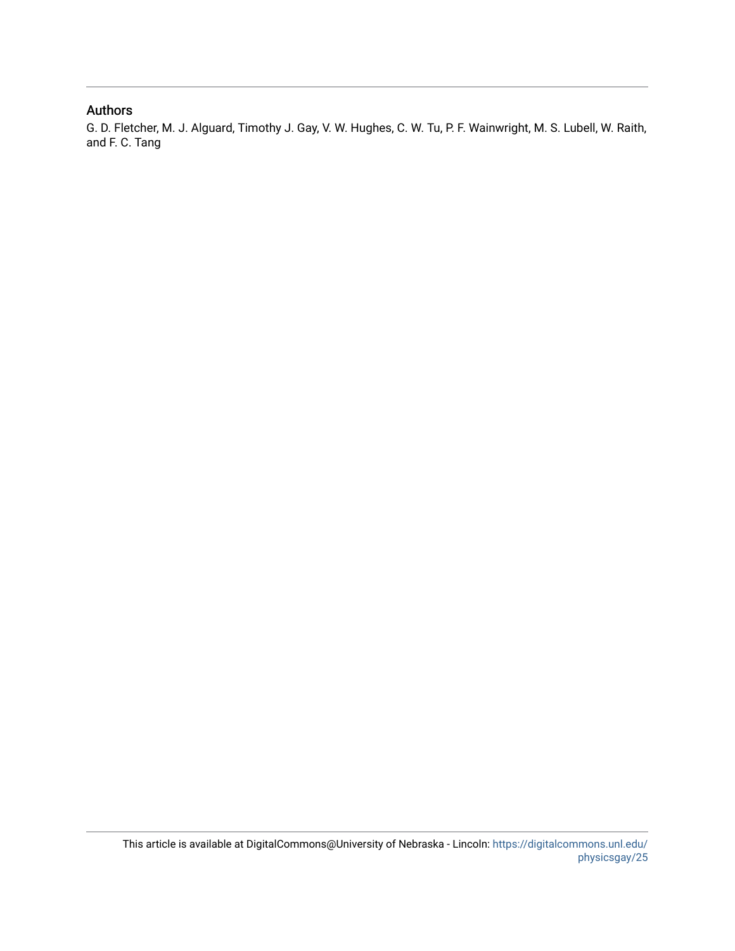## Authors

G. D. Fletcher, M. J. Alguard, Timothy J. Gay, V. W. Hughes, C. W. Tu, P. F. Wainwright, M. S. Lubell, W. Raith, and F. C. Tang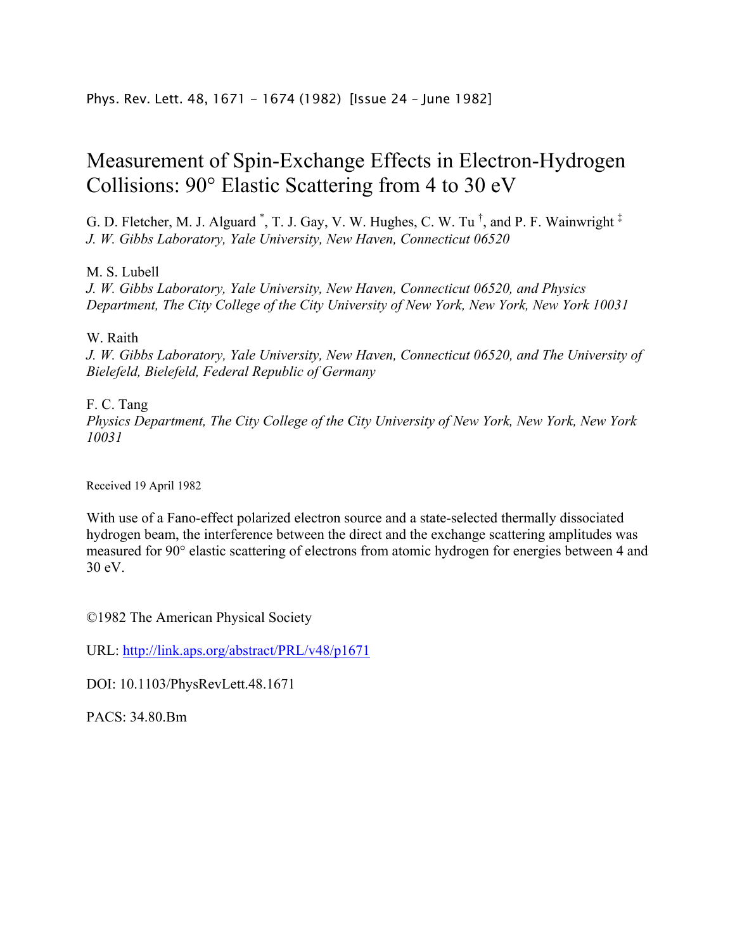## Measurement of Spin-Exchange Effects in Electron-Hydrogen Collisions: 90° Elastic Scattering from 4 to 30 eV

G. D. Fletcher, M. J. Alguard<sup>\*</sup>, T. J. Gay, V. W. Hughes, C. W. Tu  $^{\dagger}$ , and P. F. Wainwright<sup>‡</sup> *J. W. Gibbs Laboratory, Yale University, New Haven, Connecticut 06520* 

M. S. Lubell

*J. W. Gibbs Laboratory, Yale University, New Haven, Connecticut 06520, and Physics Department, The City College of the City University of New York, New York, New York 10031* 

W. Raith

*J. W. Gibbs Laboratory, Yale University, New Haven, Connecticut 06520, and The University of Bielefeld, Bielefeld, Federal Republic of Germany* 

## F. C. Tang

*Physics Department, The City College of the City University of New York, New York, New York 10031* 

Received 19 April 1982

With use of a Fano-effect polarized electron source and a state-selected thermally dissociated hydrogen beam, the interference between the direct and the exchange scattering amplitudes was measured for 90° elastic scattering of electrons from atomic hydrogen for energies between 4 and 30 eV.

©1982 The American Physical Society

URL: http://link.aps.org/abstract/PRL/v48/p1671

DOI: 10.1103/PhysRevLett.48.1671

 $PACS \cdot 34.80$  Bm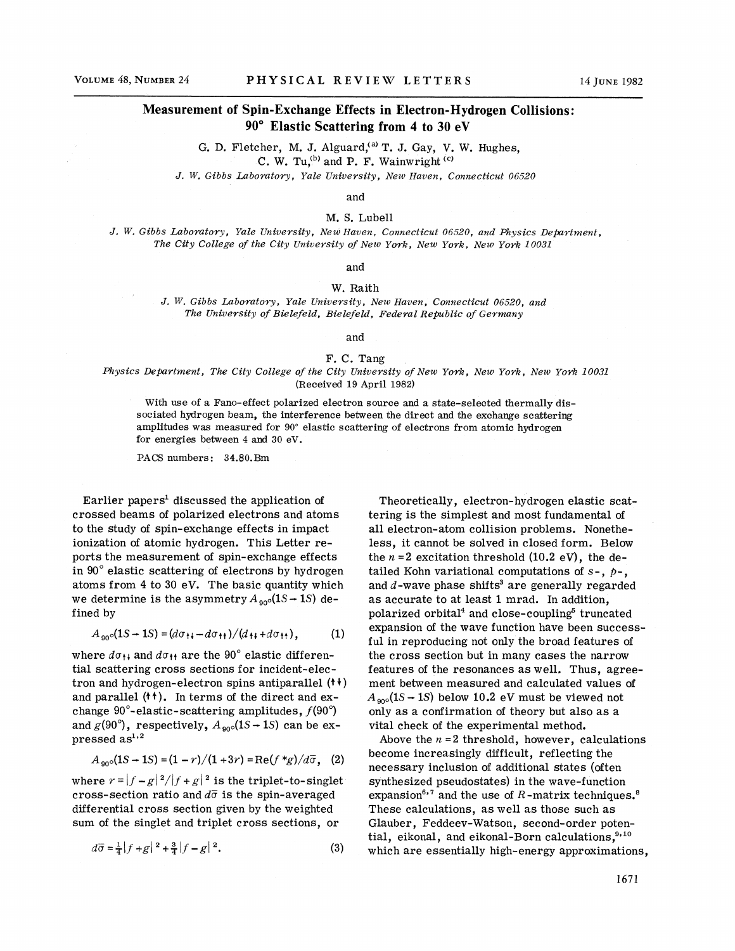### **Measurement of Spin-Exchange Effects in Electron-Hydrogen Collisions: 90" Elastic Scattering from 4 to 30 eV**

 $G.$  D. Fletcher, M. J. Alguard,<sup>(a)</sup> T. J. Gay, V. W. Hughes, C. W. Tu, $^{(b)}$  and P. F. Wainwright  $^{(c)}$ 

*J. W. Gibbs Laboratory, Yale Liniziersity, New Haven, Connecticut 06520* 

### and

M. S. Lube11

*J. W. Gibbs Laboratory, Yale LTniversity, New Iiaven, Connecticut 06520, and Physics Department, The City College of the City University of New York, New York, New York 10031* 

and

#### W. Raith

*J. W. Gibbs Laboratory, Yale University, New Haven, Connecticut 06.520, and The Lrniversity of Bielefeld, Bielefeld, Federal Republic of Germany* 

and

#### F. C. Tang

*Physics Department, The City College of the City University of New York, New York, New York 10031*  (Received 19 April 1982)

With use of a Fano-effect polarized electron source and a state-selected thermally dissociated hydrogen beam, the interference between the direct and the exchange scattering amplitudes was measured for 90" elastic scattering of electrons from atomic hydrogen for energies between 4 and 30 eV.

PACS numbers: 34.80.Bm

Earlier papers<sup>1</sup> discussed the application of crossed beams of polarized electrons and atoms to the study of spin-exchange effects in impact ionization of atomic hydrogen. This Letter reports the measurement of spin-exchange effects in 90" elastic scattering of electrons by hydrogen atoms from 4 to 30 eV. The basic quantity which we determine is the asymmetry  $A_{.90^\circ}(1S \rightarrow 1S)$  defined by

$$
A_{90} \circ (1S - 1S) = (d\sigma_{11} - d\sigma_{11})/(d_{11} + d\sigma_{11}), \tag{1}
$$

where  $d\sigma_{11}$  and  $d\sigma_{11}$  are the 90° elastic differential scattering cross sections for incident-electron and hydrogen-electron spins antiparallel ( $\leftrightarrow$ ) and parallel  $(4)$ . In terms of the direct and exchange  $90^\circ$ -elastic-scattering amplitudes,  $f(90^\circ)$ and  $g(90^{\circ})$ , respectively,  $A_{\text{g0}}(1S - 1S)$  can be expressed  $as^{1,2}$ 

$$
A_{90} (1S \to 1S) = (1 - r)/(1 + 3r) = \text{Re}(f * g) / d\overline{\sigma}, \quad (2)
$$

where  $r = |f - g|^2/|f + g|^2$  is the triplet-to-singlet cross-section ratio and  $d\bar{\sigma}$  is the spin-averaged differential cross section given by the weighted sum of the singlet and triplet cross sections, or

$$
d\overline{\sigma} = \frac{1}{4} |f + g|^{2} + \frac{3}{4} |f - g|^{2}. \tag{3}
$$

Theoretically, electron- hydrogen elastic scattering is the simplest and most fundamental of all electron-atom collision problems. Nonetheless, it cannot be solved in closed form. Below the  $n = 2$  excitation threshold  $(10.2 \text{ eV})$ , the detailed Kohn variational computations of  $s -$ ,  $p -$ , and  $d$ -wave phase shifts<sup>3</sup> are generally regarded as accurate to at least 1 mrad. In addition, polarized orbital<sup>4</sup> and close-coupling<sup>5</sup> truncated expansion of the wave function have been successful in reproducing not only the broad features of the cross section but in many cases the narrow features of the resonances as well. Thus, agreement between measured and calculated values of  $A_{\text{one}}(1S \rightarrow 1S)$  below 10.2 eV must be viewed not only as a confirmation of theory but also as a vital check of the experimental method.

Above the  $n = 2$  threshold, however, calculations become increasingly difficult, reflecting the necessary inclusion of additional states (often synthesized pseudostates) in the wave-function expansion<sup>6,7</sup> and the use of  $R$ -matrix techniques.<sup>8</sup> These calculations, as well as those such as Glauber, Feddeev-Watson, second-order potential, eikonal, and eikonal-Born calculations.<sup>9,10</sup> which are essentially high-energy approximations,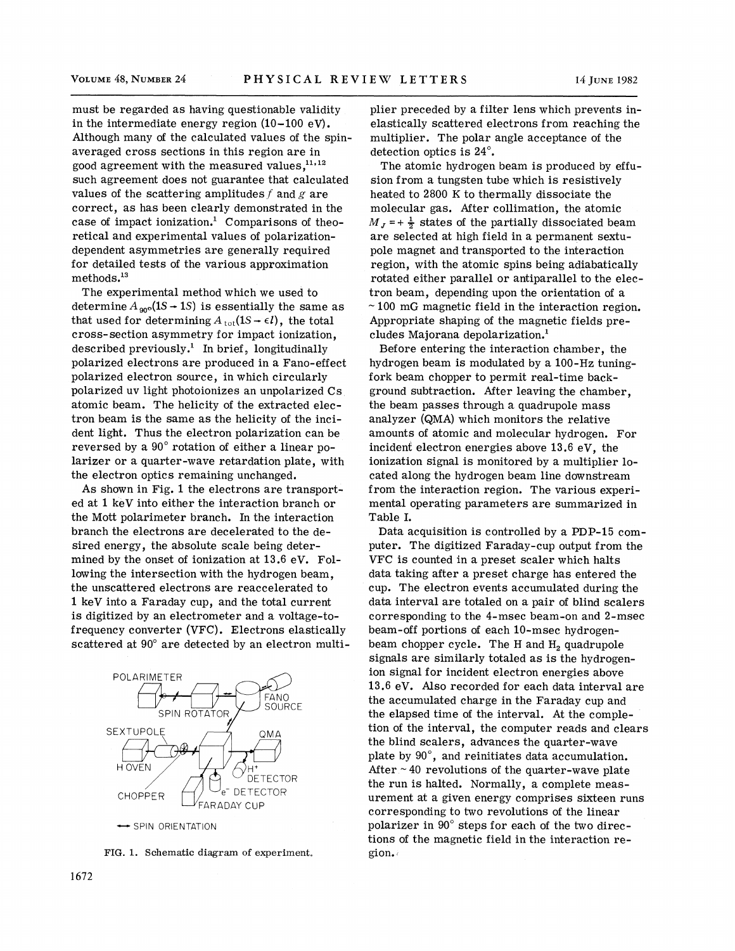must be regarded as having questionable validity in the intermediate energy region  $(10-100 \text{ eV})$ . Although many of the calculated values of the spinaveraged cross sections in this region are in good agreement with the measured values, $^{11,12}$ such agreement does not guarantee that calculated values of the scattering amplitudes f and g are correct, as has been clearly demonstrated in the case of impact ionization.' Comparisons of theoretical and experimental values of polarizationdependent asymmetries are generally required for detailed tests of the various approximation methods.13

The experimental method which we used to determine  $A_{\text{90}^\circ}(1S \rightarrow 1S)$  is essentially the same as that used for determining  $A_{\text{tot}}(1S \rightarrow \epsilon l)$ , the total cross-section asymmetry for impact ionization, described previously.' In brief, longitudinally polarized electrons are produced in a Fano-effect polarized electron source, in which circularly polarized uv light photoionizes an unpolarized Cs atomic beam. The helicity of the extracted electron beam is the same as the helicity of the incident light. Thus the electron polarization can be reversed by a 90" rotation of either a linear polarizer or a quarter-wave retardation plate, with the electron optics remaining unchanged.

As shown in Fig. 1 the electrons are transported at 1 keV into either the interaction branch or the Mott polarimeter branch. In the interaction branch the electrons are decelerated to the desired energy, the absolute scale being determined by the onset of ionization at 13.6 eV. Following the intersection with the hydrogen beam, the unscattered electrons are reaccelerated to 1 keV into a Faraday cup, and the total current is digitized by an electrometer and a voltage-tofrequency converter (VFC). Electrons elastically scattered at  $90^\circ$  are detected by an electron multi-



FIG. 1. Schematic diagram of experiment.

plier preceded by a filter lens which prevents inelastically scattered electrons from reaching the multiplier. The polar angle acceptance of the detection optics is 24".

The atomic hydrogen beam is produced by effusion from a tungsten tube which is resistively heated to 2800 K to thermally dissociate the molecular gas. After collimation, the atomic  $M<sub>J</sub> = + \frac{1}{2}$  states of the partially dissociated beam are selected at high field in a permanent sextupole magnet and transported to the interaction region, with the atomic spins being adiabatically rotated either parallel or antiparallel to the electron beam, depending upon the orientation of a  $\sim$  100 mG magnetic field in the interaction region. Appropriate shaping of the magnetic fields precludes Majorana depolarization.'

Before entering the interaction chamber, the hydrogen beam is modulated by a 100-Hz tuningfork beam chopper to permit real-time background subtraction. After leaving the chamber, the beam passes through a quadrupole mass analyzer (QMA) which monitors the relative amounts of atomic and molecular hydrogen. For incident electron energies above 13.6 eV, the ionization signal is monitored by a multiplier located along the hydrogen beam line downstream from the interaction region. The various experimental operating parameters are summarized in Table I.

Data acquisition is controlled by a PDP-15 computer. The digitized Faraday-cup output from the VFC is counted in a preset scaler which halts data taking after a preset charge has entered the cup. The electron events accumulated during the data interval are totaled on a pair of blind scalers corresponding to the 4-msec beam-on and 2-msec beam-off portions of each 10-msec hydrogenbeam chopper cycle. The H and  $H<sub>2</sub>$  quadrupole signals are similarly totaled as is the hydrogenion signal for incident electron energies above 13.6 eV. Also recorded for each data interval are the accumulated charge in the Faraday cup and the elapsed time of the interval. At the completion of the interval, the computer reads and clears the blind scalers, advances the quarter-wave plate by 90°, and reinitiates data accumulation. After  $\sim$  40 revolutions of the quarter-wave plate the run is halted. Normally, a complete measurement at a given energy comprises sixteen runs corresponding to two revolutions of the linear polarizer in 90" steps for each of the two directions of the magnetic field in the interaction region.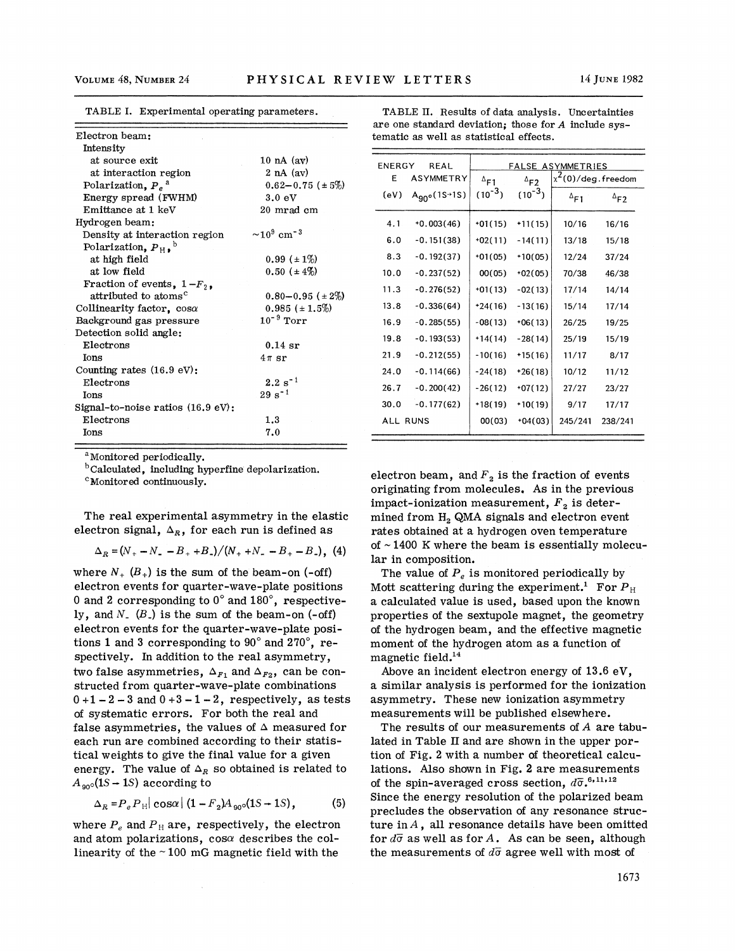| Electron beam:                               |                              |
|----------------------------------------------|------------------------------|
| Intensity                                    |                              |
| at source exit                               | 10 nA $(ay)$                 |
| at interaction region                        | $2$ nA $(av)$                |
| Polarization, $P_e^a$                        | $0.62 - 0.75$ ( $\pm 5\%)$   |
| Energy spread (FWHM)                         | 3.0 eV                       |
| Emittance at 1 keV                           | 20 mrad cm                   |
| Hydrogen beam:                               |                              |
| Density at interaction region                | $\sim 10^9 \text{ cm}^{-3}$  |
| Polarization, $P_{H}$ , $^{\circ}$           |                              |
| at high field                                | $0.99 (+ 1\%)$               |
| at low field                                 | $0.50~(\pm 4\%)$             |
| Fraction of events, $1-F_2$ ,                |                              |
| attributed to atoms <sup>c</sup>             | $0.80 - 0.95$ ( $\pm 2\%)$ ) |
| Collinearity factor, $cos\alpha$             | $0.985 (+1.5%)$              |
| Background gas pressure                      | $10^{-9}$ Torr               |
| Detection solid angle:                       |                              |
| Electrons                                    | $0.14$ sr                    |
| Ions                                         | $4\pi$ sr                    |
| Counting rates $(16.9 \text{ eV})$ :         |                              |
| Electrons                                    | $2.2 s^{-1}$                 |
| Ions                                         | $29 s^{-1}$                  |
| Signal-to-noise ratios $(16.9 \text{ eV})$ : |                              |
| Electrons                                    | 1.3                          |
| Ions                                         | 7.0                          |
|                                              |                              |

TABLE I. Experimental operating parameters.

<sup>a</sup>Monitored periodically.

<sup>b</sup>Calculated, including hyperfine depolarization.

<sup>c</sup>Monitored continuously.

The real experimental asymmetry in the elastic electron signal,  $\Delta_R$ , for each run is defined as

$$
\Delta_R = (N_+ - N_- - B_+ + B_-)/(N_+ + N_- - B_+ - B_-), \quad (4)
$$

where  $N_{+}$   $(B_{+})$  is the sum of the beam-on (-off) electron events for quarter-wave-plate positions 0 and **2** corresponding to 0" and 180°, respectively, and  $N_{-}$   $(B_{-})$  is the sum of the beam-on  $(-off)$ electron events for the quarter-wave-plate positions 1 and 3 corresponding to  $90^\circ$  and  $270^\circ$ , respectively. In addition to the real asymmetry, two false asymmetries,  $\Delta_{F_1}$  and  $\Delta_{F_2}$ , can be constructed from quarter-wave-plate combinations  $0 + 1 - 2 - 3$  and  $0 + 3 - 1 - 2$ , respectively, as tests of systematic errors. For both the real and false asymmetries, the values of  $\Delta$  measured for each run are combined according to their statistical weights to give the final value for a given energy. The value of  $\Delta_R$  so obtained is related to  $A_{90}$ (1S – 1S) according to

$$
\Delta_R = P_e P_H |\cos\alpha| (1 - F_2) A_{90} (1S - 1S),
$$
 (5)

where  $P_e$  and  $P_H$  are, respectively, the electron and atom polarizations,  $cos\alpha$  describes the collinearity of the  $\sim$  100 mG magnetic field with the

|                                         | TABLE II. Results of data analysis. Uncertainties    |  |  |  |  |
|-----------------------------------------|------------------------------------------------------|--|--|--|--|
|                                         | are one standard deviation; those for A include sys- |  |  |  |  |
| tematic as well as statistical effects. |                                                      |  |  |  |  |

| av)                     | <b>ENERGY</b><br><b>REAL</b> |                    | FALSE ASYMMETRIES |                |                       |                |  |
|-------------------------|------------------------------|--------------------|-------------------|----------------|-----------------------|----------------|--|
| 1v)<br>$0.75~(\pm 5\%)$ | ASYMMETRY<br>E               |                    | $^{\Delta}$ F1    | $^{\Delta}$ F2 | $x^2(0)/$ deg.freedom |                |  |
|                         | (eV)                         | $A_{90}$ (1S + 1S) | $(10^{-3})$       | $(10^{-3})$    | $^{\Delta}$ F1        | $^{\Delta}$ F2 |  |
| d cm                    |                              |                    |                   |                |                       |                |  |
| $\mathbf{3}$            | 4.1                          | $+0.003(46)$       | $+01(15)$         | $+11(15)$      | 10/16                 | 16/16          |  |
|                         | 6.0                          | $-0.151(38)$       | $+02(11)$         | $-14(11)$      | 13/18                 | 15/18          |  |
| E 1%)                   | 8.3                          | $-0.192(37)$       | $+01(05)$         | $+10(05)$      | 12/24                 | 37/24          |  |
| t 4%)                   | 10.0                         | $-0.237(52)$       | 00(05)            | $+02(05)$      | 70/38                 | 46/38          |  |
| $0.95 (+ 2\%)$          | 11.3                         | $-0.276(52)$       | $+01(13)$         | $-02(13)$      | 17/14                 | 14/14          |  |
| $\pm 1.5\%$             | 13.8                         | $-0.336(64)$       | $+24(16)$         | $-13(16)$      | 15/14                 | 17/14          |  |
| rr                      | 16.9                         | $-0.285(55)$       | $-08(13)$         | $+06(13)$      | 26/25                 | 19/25          |  |
|                         | 19.8                         | $-0.193(53)$       | $+14(14)$         | $-28(14)$      | 25/19                 | 15/19          |  |
|                         | 21.9                         | $-0.212(55)$       | $-10(16)$         | $+15(16)$      | 11/17                 | 8/17           |  |
|                         | 24.0                         | $-0.114(66)$       | $-24(18)$         | $+26(18)$      | 10/12                 | 11/12          |  |
|                         | 26.7                         | $-0.200(42)$       | $-26(12)$         | $+07(12)$      | 27/27                 | 23/27          |  |
|                         | 30.0                         | $-0.177(62)$       | $+18(19)$         | $+10(19)$      | 9/17                  | 17/17          |  |
|                         | ALL RUNS                     |                    | 00(03)            | $+04(03)$      | 245/241               | 238/241        |  |

electron beam, and  $F<sub>2</sub>$  is the fraction of events originating from molecules. As in the previous impact-ionization measurement, *F,* is determined from **H,** QMA signals and electron event rates obtained at a hydrogen oven temperature of  $\sim$  1400 K where the beam is essentially molecular in composition.

The value of  $P_e$  is monitored periodically by Mott scattering during the experiment.<sup>1</sup> For  $P_H$ a calculated value is used, based upon the known properties of the sextupole magnet, the geometry of the hydrogen beam, and the effective magnetic moment of the hydrogen atom as a function of magnetic field.14

Above an incident electron energy of 13.6 eV, a similar analysis is performed for the ionization asymmetry. These new ionization asymmetry measurements will be published elsewhere.

The results of our measurements of A are tabulated in Table I1 and are shown in the upper portion of Fig. **2** with a number of theoretical calculations. Also shown in Fig. 2 are measurements of the spin-averaged cross section,  $d\overline{\sigma}$ ,<sup>6,11,12</sup> Since the energy resolution of the polarized beam precludes the observation of any resonance structure in  $A$ , all resonance details have been omitted for  $d\bar{\sigma}$  as well as for  $A$ . As can be seen, although the measurements of  $d\bar{\sigma}$  agree well with most of